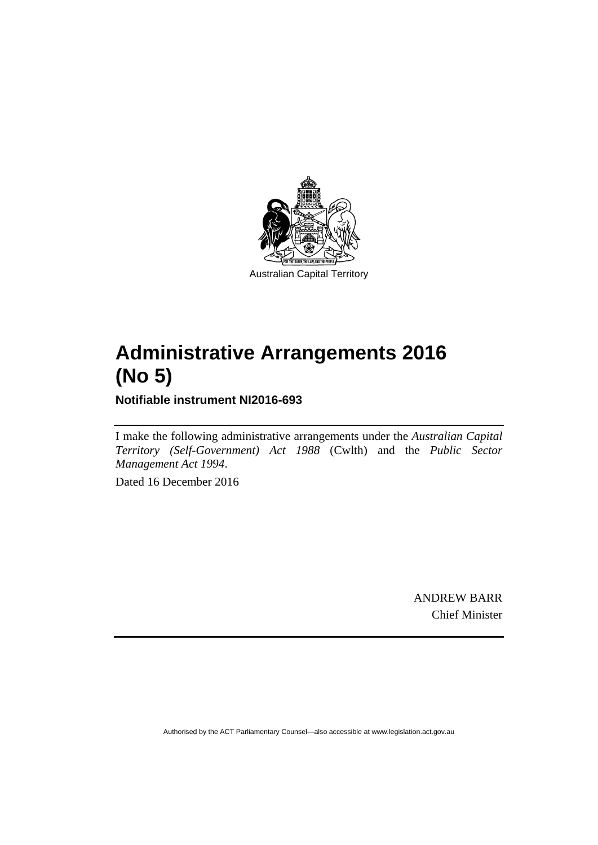

# **Administrative Arrangements 2016 (No 5)**

**Notifiable instrument NI2016-693** 

I make the following administrative arrangements under the *Australian Capital Territory (Self-Government) Act 1988* (Cwlth) and the *Public Sector Management Act 1994*.

Dated 16 December 2016

ANDREW BARR Chief Minister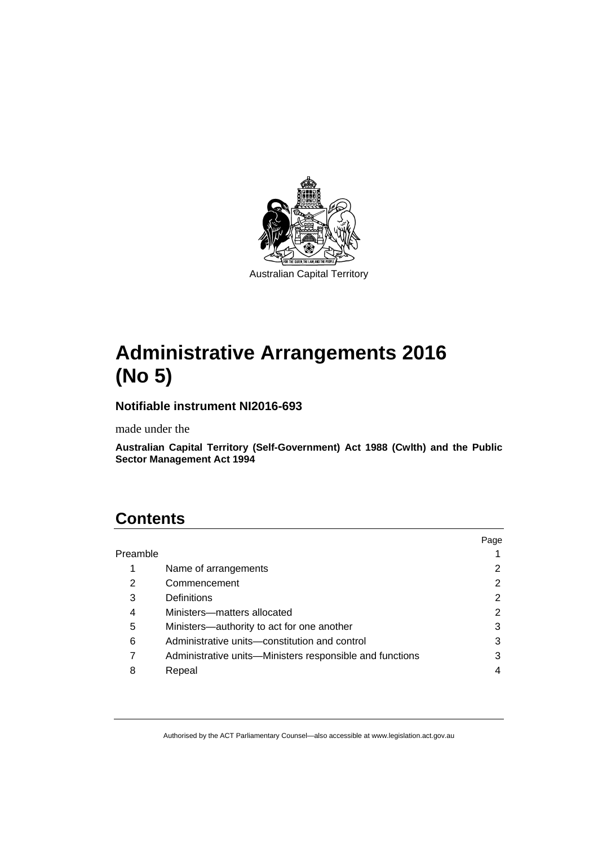

# **Administrative Arrangements 2016 (No 5)**

### **Notifiable instrument NI2016-693**

made under the

**Australian Capital Territory (Self-Government) Act 1988 (Cwlth) and the Public Sector Management Act 1994** 

# **Contents**

|          |                                                          | Page |
|----------|----------------------------------------------------------|------|
| Preamble |                                                          |      |
| 1        | Name of arrangements                                     |      |
| 2        | Commencement                                             | 2    |
| 3        | Definitions                                              | 2    |
| 4        | Ministers-matters allocated                              | 2    |
| 5        | Ministers—authority to act for one another               | 3    |
| 6        | Administrative units—constitution and control            | 3    |
| 7        | Administrative units—Ministers responsible and functions | 3    |
| 8        | Repeal                                                   |      |
|          |                                                          |      |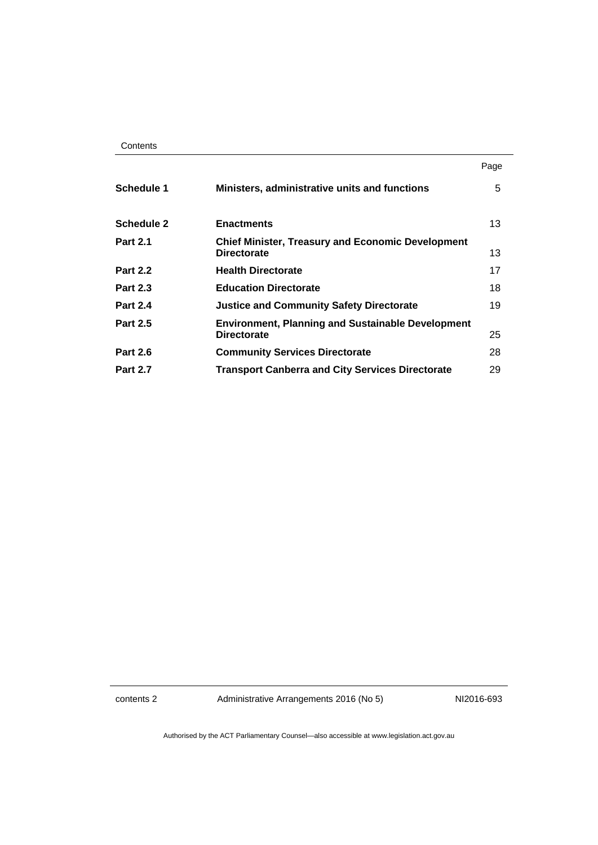|                   |                                                                                | Page |
|-------------------|--------------------------------------------------------------------------------|------|
| Schedule 1        | Ministers, administrative units and functions                                  | 5    |
| <b>Schedule 2</b> | <b>Enactments</b>                                                              | 13   |
| <b>Part 2.1</b>   | <b>Chief Minister, Treasury and Economic Development</b><br><b>Directorate</b> | 13   |
| <b>Part 2.2</b>   | <b>Health Directorate</b>                                                      | 17   |
| <b>Part 2.3</b>   | <b>Education Directorate</b>                                                   | 18   |
| <b>Part 2.4</b>   | <b>Justice and Community Safety Directorate</b>                                | 19   |
| <b>Part 2.5</b>   | <b>Environment, Planning and Sustainable Development</b><br><b>Directorate</b> | 25   |
| <b>Part 2.6</b>   | <b>Community Services Directorate</b>                                          | 28   |
| <b>Part 2.7</b>   | <b>Transport Canberra and City Services Directorate</b>                        | 29   |

contents 2 Administrative Arrangements 2016 (No 5) NI2016-693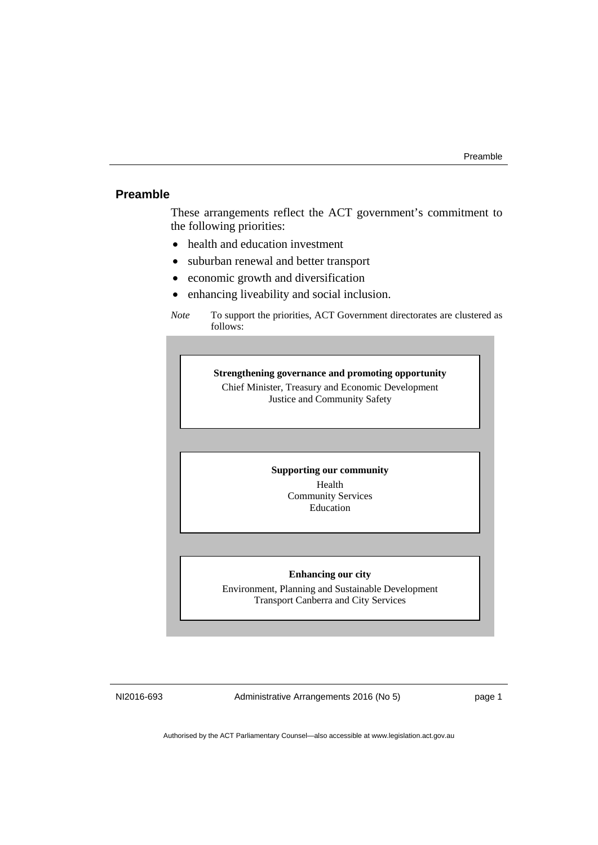### <span id="page-4-0"></span>**Preamble**

These arrangements reflect the ACT government's commitment to the following priorities:

- health and education investment
- suburban renewal and better transport
- economic growth and diversification
- enhancing liveability and social inclusion.

**Strengthening governance and promoting opportunity**  Chief Minister, Treasury and Economic Development Justice and Community Safety

#### **Supporting our community**

Health Community Services Education

#### **Enhancing our city**

Environment, Planning and Sustainable Development Transport Canberra and City Services

NI2016-693 Administrative Arrangements 2016 (No 5) page 1

*Note* To support the priorities, ACT Government directorates are clustered as follows: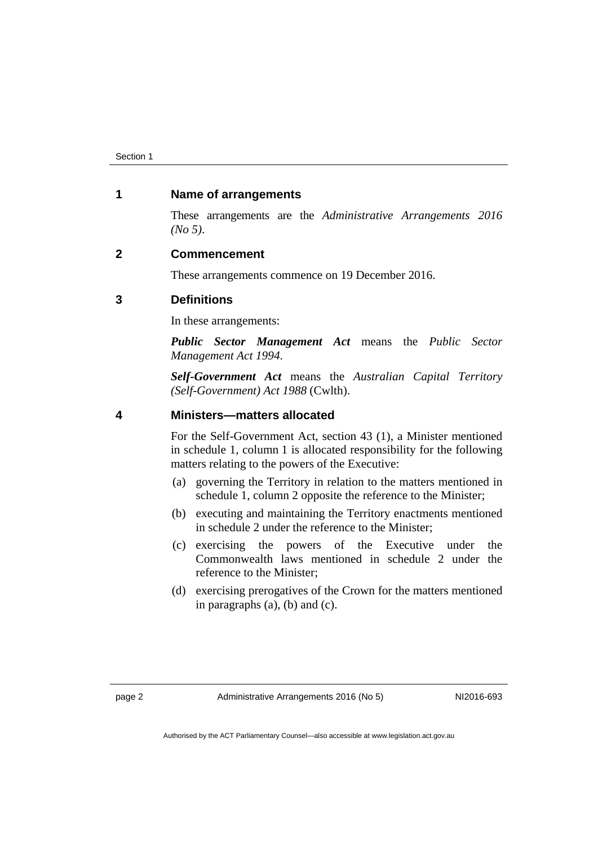#### <span id="page-5-0"></span>**1 Name of arrangements**

These arrangements are the *Administrative Arrangements 2016 (No 5)*.

#### <span id="page-5-1"></span>**2 Commencement**

These arrangements commence on 19 December 2016.

#### <span id="page-5-2"></span>**3 Definitions**

In these arrangements:

*Public Sector Management Act* means the *Public Sector Management Act 1994*.

*Self-Government Act* means the *Australian Capital Territory (Self-Government) Act 1988* (Cwlth).

#### <span id="page-5-3"></span>**4 Ministers—matters allocated**

For the Self-Government Act, section 43 (1), a Minister mentioned in schedule 1, column 1 is allocated responsibility for the following matters relating to the powers of the Executive:

- (a) governing the Territory in relation to the matters mentioned in schedule 1, column 2 opposite the reference to the Minister;
- (b) executing and maintaining the Territory enactments mentioned in schedule 2 under the reference to the Minister;
- (c) exercising the powers of the Executive under the Commonwealth laws mentioned in schedule 2 under the reference to the Minister;
- (d) exercising prerogatives of the Crown for the matters mentioned in paragraphs (a), (b) and (c).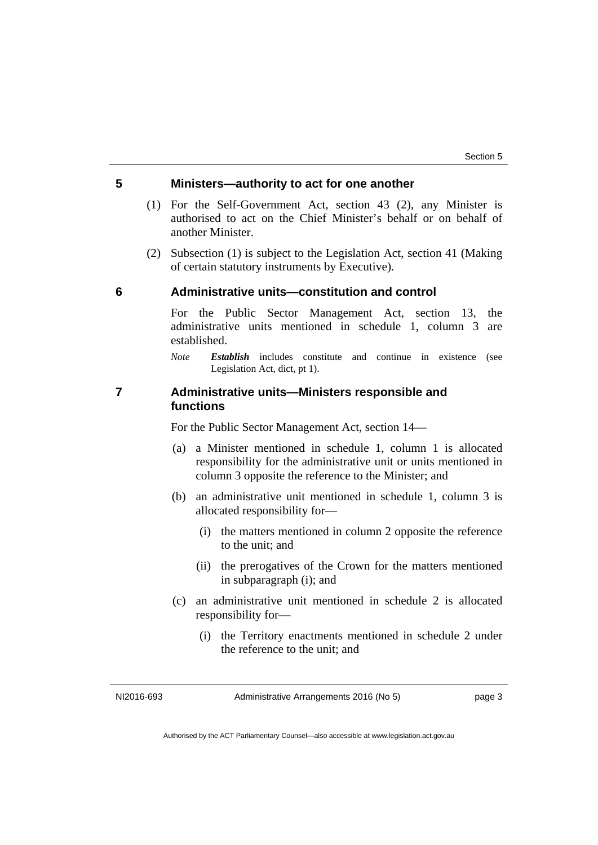#### <span id="page-6-0"></span>**5 Ministers—authority to act for one another**

- (1) For the Self-Government Act, section 43 (2), any Minister is authorised to act on the Chief Minister's behalf or on behalf of another Minister.
- (2) Subsection (1) is subject to the Legislation Act, section 41 (Making of certain statutory instruments by Executive).

#### <span id="page-6-1"></span>**6 Administrative units—constitution and control**

For the Public Sector Management Act, section 13, the administrative units mentioned in schedule 1, column 3 are established.

*Note Establish* includes constitute and continue in existence (see Legislation Act, dict, pt 1).

#### <span id="page-6-2"></span>**7 Administrative units—Ministers responsible and functions**

For the Public Sector Management Act, section 14—

- (a) a Minister mentioned in schedule 1, column 1 is allocated responsibility for the administrative unit or units mentioned in column 3 opposite the reference to the Minister; and
- (b) an administrative unit mentioned in schedule 1, column 3 is allocated responsibility for—
	- (i) the matters mentioned in column 2 opposite the reference to the unit; and
	- (ii) the prerogatives of the Crown for the matters mentioned in subparagraph (i); and
- (c) an administrative unit mentioned in schedule 2 is allocated responsibility for—
	- (i) the Territory enactments mentioned in schedule 2 under the reference to the unit; and

NI2016-693 Administrative Arrangements 2016 (No 5) page 3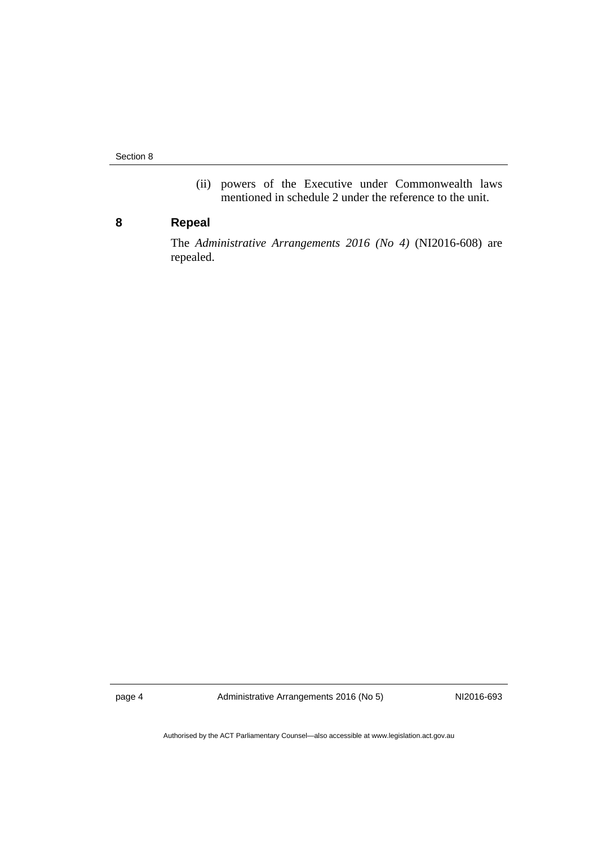Section 8

(ii) powers of the Executive under Commonwealth laws mentioned in schedule 2 under the reference to the unit.

### <span id="page-7-0"></span>**8 Repeal**

The *Administrative Arrangements 2016 (No 4)* (NI2016-608) are repealed.

page 4 Administrative Arrangements 2016 (No 5) NI2016-693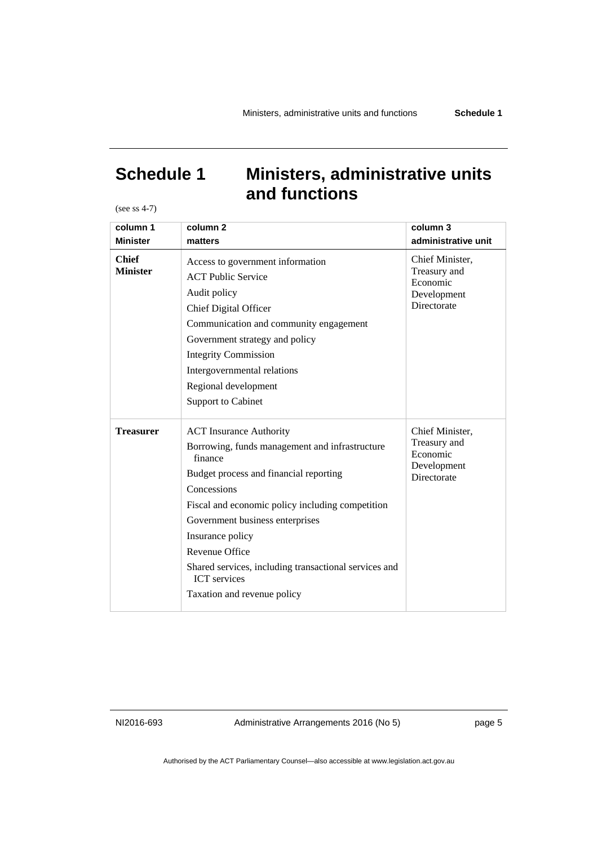# <span id="page-8-0"></span>**Schedule 1 Ministers, administrative units and functions**

(see ss 4-7)

| column 1<br><b>Minister</b>     | column <sub>2</sub><br>matters                                                                                                                                                                                                                                                                                                                                                                          | column 3<br>administrative unit                                           |
|---------------------------------|---------------------------------------------------------------------------------------------------------------------------------------------------------------------------------------------------------------------------------------------------------------------------------------------------------------------------------------------------------------------------------------------------------|---------------------------------------------------------------------------|
| <b>Chief</b><br><b>Minister</b> | Access to government information<br><b>ACT Public Service</b><br>Audit policy<br><b>Chief Digital Officer</b><br>Communication and community engagement<br>Government strategy and policy<br><b>Integrity Commission</b><br>Intergovernmental relations<br>Regional development<br><b>Support to Cabinet</b>                                                                                            | Chief Minister,<br>Treasury and<br>Economic<br>Development<br>Directorate |
| Treasurer                       | <b>ACT</b> Insurance Authority<br>Borrowing, funds management and infrastructure<br>finance<br>Budget process and financial reporting<br>Concessions<br>Fiscal and economic policy including competition<br>Government business enterprises<br>Insurance policy<br><b>Revenue Office</b><br>Shared services, including transactional services and<br><b>ICT</b> services<br>Taxation and revenue policy | Chief Minister,<br>Treasury and<br>Economic<br>Development<br>Directorate |

NI2016-693 Administrative Arrangements 2016 (No 5) page 5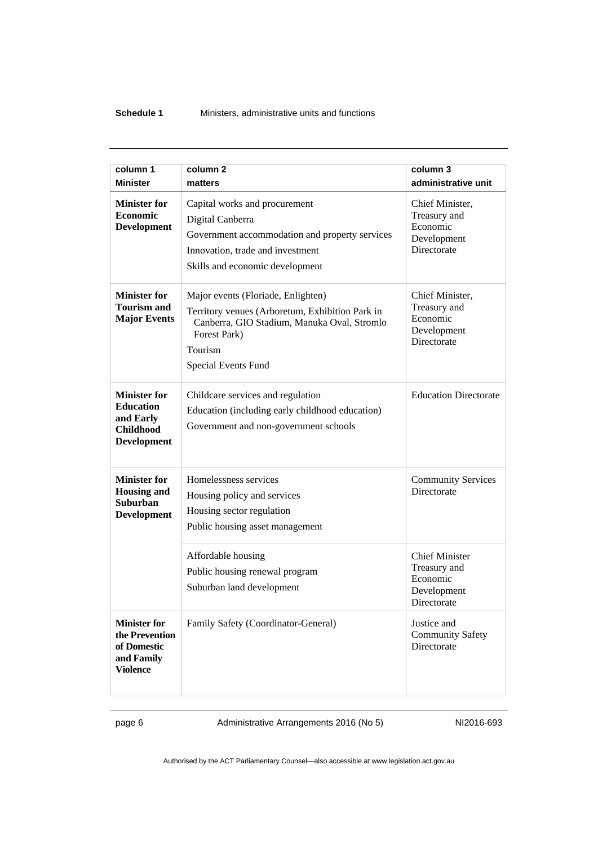#### **Schedule 1** Ministers, administrative units and functions

| column 1                                                                                       | column <sub>2</sub>                                                                                                                                                                           | column 3                                                                        |
|------------------------------------------------------------------------------------------------|-----------------------------------------------------------------------------------------------------------------------------------------------------------------------------------------------|---------------------------------------------------------------------------------|
| <b>Minister</b>                                                                                | matters                                                                                                                                                                                       | administrative unit                                                             |
| <b>Minister for</b><br>Economic<br><b>Development</b>                                          | Capital works and procurement<br>Digital Canberra<br>Government accommodation and property services<br>Innovation, trade and investment<br>Skills and economic development                    | Chief Minister,<br>Treasury and<br>Economic<br>Development<br>Directorate       |
| <b>Minister for</b><br><b>Tourism and</b><br><b>Major Events</b>                               | Major events (Floriade, Enlighten)<br>Territory venues (Arboretum, Exhibition Park in<br>Canberra, GIO Stadium, Manuka Oval, Stromlo<br>Forest Park)<br>Tourism<br><b>Special Events Fund</b> | Chief Minister,<br>Treasury and<br>Economic<br>Development<br>Directorate       |
| <b>Minister for</b><br><b>Education</b><br>and Early<br><b>Childhood</b><br><b>Development</b> | Childcare services and regulation<br>Education (including early childhood education)<br>Government and non-government schools                                                                 | <b>Education Directorate</b>                                                    |
| <b>Minister for</b><br><b>Housing and</b><br><b>Suburban</b><br><b>Development</b>             | Homelessness services<br>Housing policy and services<br>Housing sector regulation<br>Public housing asset management                                                                          | <b>Community Services</b><br>Directorate                                        |
|                                                                                                | Affordable housing<br>Public housing renewal program<br>Suburban land development                                                                                                             | <b>Chief Minister</b><br>Treasury and<br>Economic<br>Development<br>Directorate |
| <b>Minister for</b><br>the Prevention<br>of Domestic<br>and Family<br><b>Violence</b>          | Family Safety (Coordinator-General)                                                                                                                                                           | Justice and<br><b>Community Safety</b><br>Directorate                           |

page 6 Administrative Arrangements 2016 (No 5) NI2016-693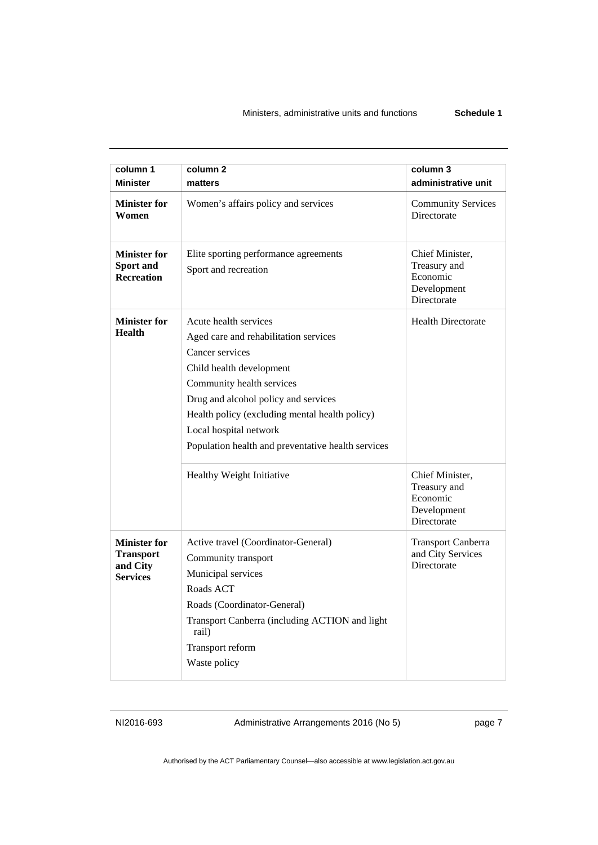| column 1<br><b>Minister</b>                                            | column <sub>2</sub><br>matters                                                                                                                                                                                                                                                                                       | column 3<br>administrative unit                                           |
|------------------------------------------------------------------------|----------------------------------------------------------------------------------------------------------------------------------------------------------------------------------------------------------------------------------------------------------------------------------------------------------------------|---------------------------------------------------------------------------|
| <b>Minister for</b><br>Women                                           | Women's affairs policy and services                                                                                                                                                                                                                                                                                  | <b>Community Services</b><br>Directorate                                  |
| <b>Minister for</b><br>Sport and<br><b>Recreation</b>                  | Elite sporting performance agreements<br>Sport and recreation                                                                                                                                                                                                                                                        | Chief Minister,<br>Treasury and<br>Economic<br>Development<br>Directorate |
| <b>Minister for</b><br>Health                                          | Acute health services<br>Aged care and rehabilitation services<br>Cancer services<br>Child health development<br>Community health services<br>Drug and alcohol policy and services<br>Health policy (excluding mental health policy)<br>Local hospital network<br>Population health and preventative health services | <b>Health Directorate</b>                                                 |
|                                                                        | Healthy Weight Initiative                                                                                                                                                                                                                                                                                            | Chief Minister,<br>Treasury and<br>Economic<br>Development<br>Directorate |
| <b>Minister for</b><br><b>Transport</b><br>and City<br><b>Services</b> | Active travel (Coordinator-General)<br>Community transport<br>Municipal services<br>Roads ACT<br>Roads (Coordinator-General)<br>Transport Canberra (including ACTION and light<br>rail)<br>Transport reform<br>Waste policy                                                                                          | <b>Transport Canberra</b><br>and City Services<br>Directorate             |

NI2016-693 Administrative Arrangements 2016 (No 5) page 7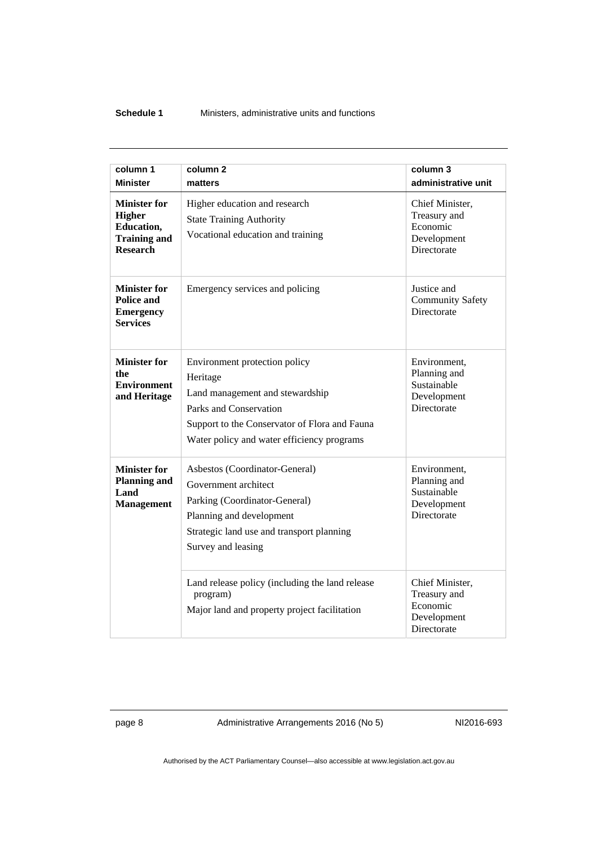#### **Schedule 1** Ministers, administrative units and functions

| column 1<br><b>Minister</b>                                                                  | column <sub>2</sub><br>matters                                                                                                                                                                        | column 3<br>administrative unit                                                  |
|----------------------------------------------------------------------------------------------|-------------------------------------------------------------------------------------------------------------------------------------------------------------------------------------------------------|----------------------------------------------------------------------------------|
| <b>Minister for</b><br><b>Higher</b><br>Education,<br><b>Training and</b><br><b>Research</b> | Higher education and research<br><b>State Training Authority</b><br>Vocational education and training                                                                                                 | Chief Minister,<br>Treasury and<br>Economic<br>Development<br><b>Directorate</b> |
| <b>Minister for</b><br>Police and<br><b>Emergency</b><br><b>Services</b>                     | Emergency services and policing                                                                                                                                                                       | Justice and<br><b>Community Safety</b><br><b>Directorate</b>                     |
| <b>Minister for</b><br>the<br><b>Environment</b><br>and Heritage                             | Environment protection policy<br>Heritage<br>Land management and stewardship<br>Parks and Conservation<br>Support to the Conservator of Flora and Fauna<br>Water policy and water efficiency programs | Environment,<br>Planning and<br>Sustainable<br>Development<br>Directorate        |
| <b>Minister for</b><br><b>Planning and</b><br>Land<br><b>Management</b>                      | Asbestos (Coordinator-General)<br>Government architect<br>Parking (Coordinator-General)<br>Planning and development<br>Strategic land use and transport planning<br>Survey and leasing                | Environment,<br>Planning and<br>Sustainable<br>Development<br><b>Directorate</b> |
|                                                                                              | Land release policy (including the land release<br>program)<br>Major land and property project facilitation                                                                                           | Chief Minister,<br>Treasury and<br>Economic<br>Development<br>Directorate        |

page 8 Administrative Arrangements 2016 (No 5) NI2016-693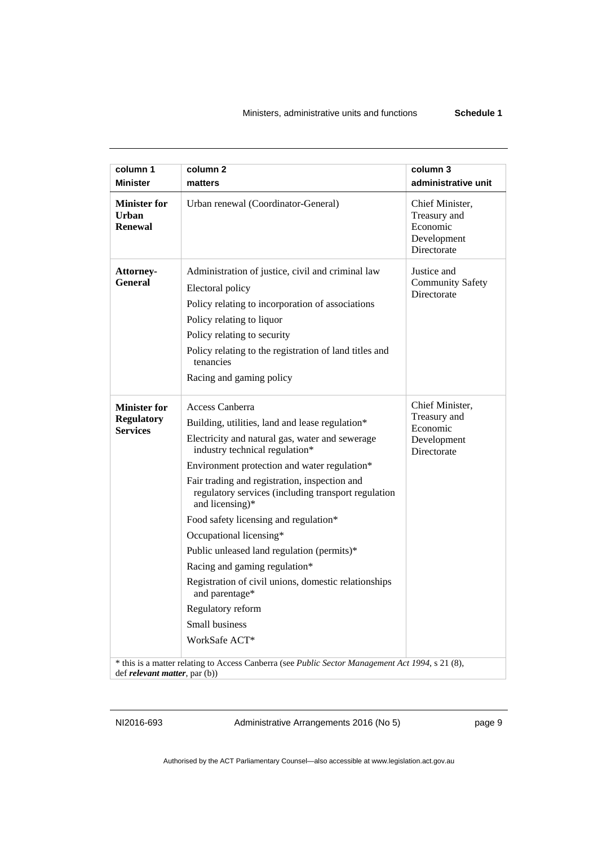| column 1<br><b>Minister</b>                                 | column 2<br>matters                                                                                                                                                                                                                                                                                                                                                                                                                                                                                                                                                                                                     | column 3<br>administrative unit                                           |
|-------------------------------------------------------------|-------------------------------------------------------------------------------------------------------------------------------------------------------------------------------------------------------------------------------------------------------------------------------------------------------------------------------------------------------------------------------------------------------------------------------------------------------------------------------------------------------------------------------------------------------------------------------------------------------------------------|---------------------------------------------------------------------------|
| <b>Minister for</b><br><b>Urban</b><br><b>Renewal</b>       | Urban renewal (Coordinator-General)                                                                                                                                                                                                                                                                                                                                                                                                                                                                                                                                                                                     | Chief Minister,<br>Treasury and<br>Economic<br>Development<br>Directorate |
| Attorney-<br>General                                        | Administration of justice, civil and criminal law<br>Electoral policy<br>Policy relating to incorporation of associations<br>Policy relating to liquor<br>Policy relating to security<br>Policy relating to the registration of land titles and<br>tenancies<br>Racing and gaming policy                                                                                                                                                                                                                                                                                                                                | Justice and<br><b>Community Safety</b><br>Directorate                     |
| <b>Minister for</b><br><b>Regulatory</b><br><b>Services</b> | Access Canberra<br>Building, utilities, land and lease regulation*<br>Electricity and natural gas, water and sewerage<br>industry technical regulation*<br>Environment protection and water regulation*<br>Fair trading and registration, inspection and<br>regulatory services (including transport regulation<br>and licensing)*<br>Food safety licensing and regulation*<br>Occupational licensing*<br>Public unleased land regulation (permits)*<br>Racing and gaming regulation*<br>Registration of civil unions, domestic relationships<br>and parentage*<br>Regulatory reform<br>Small business<br>WorkSafe ACT* | Chief Minister,<br>Treasury and<br>Economic<br>Development<br>Directorate |
| def <i>relevant matter</i> , par (b))                       | * this is a matter relating to Access Canberra (see Public Sector Management Act 1994, s 21 (8),                                                                                                                                                                                                                                                                                                                                                                                                                                                                                                                        |                                                                           |

NI2016-693 Administrative Arrangements 2016 (No 5) page 9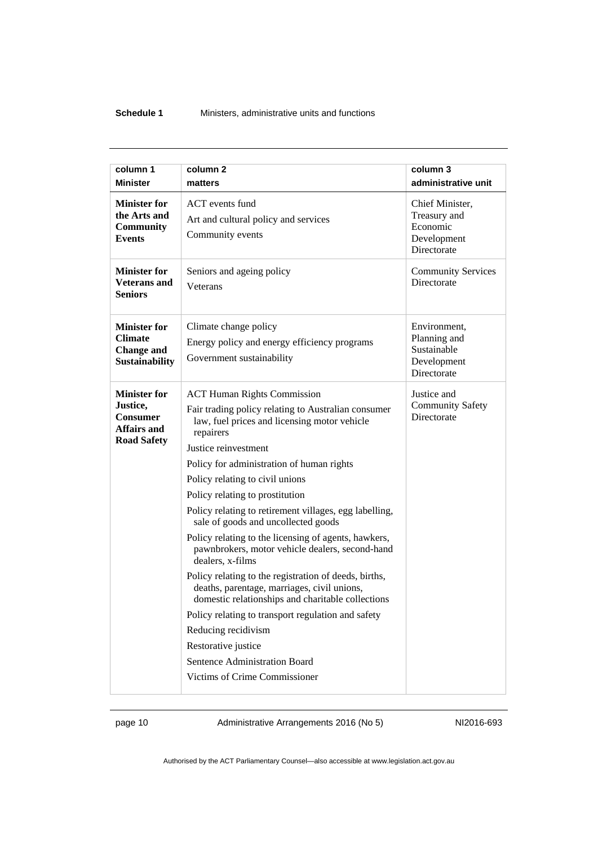#### **Schedule 1** Ministers, administrative units and functions

| column 1                                                                                       | column <sub>2</sub>                                                                                                                                                                                                                                                                                                                                                                                                                                                                                                                                                                                                                                                                                                                                                                                                                                                  | column 3                                                                  |
|------------------------------------------------------------------------------------------------|----------------------------------------------------------------------------------------------------------------------------------------------------------------------------------------------------------------------------------------------------------------------------------------------------------------------------------------------------------------------------------------------------------------------------------------------------------------------------------------------------------------------------------------------------------------------------------------------------------------------------------------------------------------------------------------------------------------------------------------------------------------------------------------------------------------------------------------------------------------------|---------------------------------------------------------------------------|
| <b>Minister</b>                                                                                | matters                                                                                                                                                                                                                                                                                                                                                                                                                                                                                                                                                                                                                                                                                                                                                                                                                                                              | administrative unit                                                       |
| <b>Minister for</b><br>the Arts and<br>Community<br><b>Events</b>                              | ACT events fund<br>Art and cultural policy and services<br>Community events                                                                                                                                                                                                                                                                                                                                                                                                                                                                                                                                                                                                                                                                                                                                                                                          | Chief Minister,<br>Treasury and<br>Economic<br>Development<br>Directorate |
| <b>Minister for</b><br><b>Veterans and</b><br><b>Seniors</b>                                   | Seniors and ageing policy<br>Veterans                                                                                                                                                                                                                                                                                                                                                                                                                                                                                                                                                                                                                                                                                                                                                                                                                                | <b>Community Services</b><br>Directorate                                  |
| <b>Minister for</b><br><b>Climate</b><br><b>Change and</b><br><b>Sustainability</b>            | Climate change policy<br>Energy policy and energy efficiency programs<br>Government sustainability                                                                                                                                                                                                                                                                                                                                                                                                                                                                                                                                                                                                                                                                                                                                                                   | Environment,<br>Planning and<br>Sustainable<br>Development<br>Directorate |
| <b>Minister for</b><br>Justice,<br><b>Consumer</b><br><b>Affairs and</b><br><b>Road Safety</b> | <b>ACT Human Rights Commission</b><br>Fair trading policy relating to Australian consumer<br>law, fuel prices and licensing motor vehicle<br>repairers<br>Justice reinvestment<br>Policy for administration of human rights<br>Policy relating to civil unions<br>Policy relating to prostitution<br>Policy relating to retirement villages, egg labelling,<br>sale of goods and uncollected goods<br>Policy relating to the licensing of agents, hawkers,<br>pawnbrokers, motor vehicle dealers, second-hand<br>dealers, x-films<br>Policy relating to the registration of deeds, births,<br>deaths, parentage, marriages, civil unions,<br>domestic relationships and charitable collections<br>Policy relating to transport regulation and safety<br>Reducing recidivism<br>Restorative justice<br>Sentence Administration Board<br>Victims of Crime Commissioner | Justice and<br><b>Community Safety</b><br>Directorate                     |

page 10 Administrative Arrangements 2016 (No 5) NI2016-693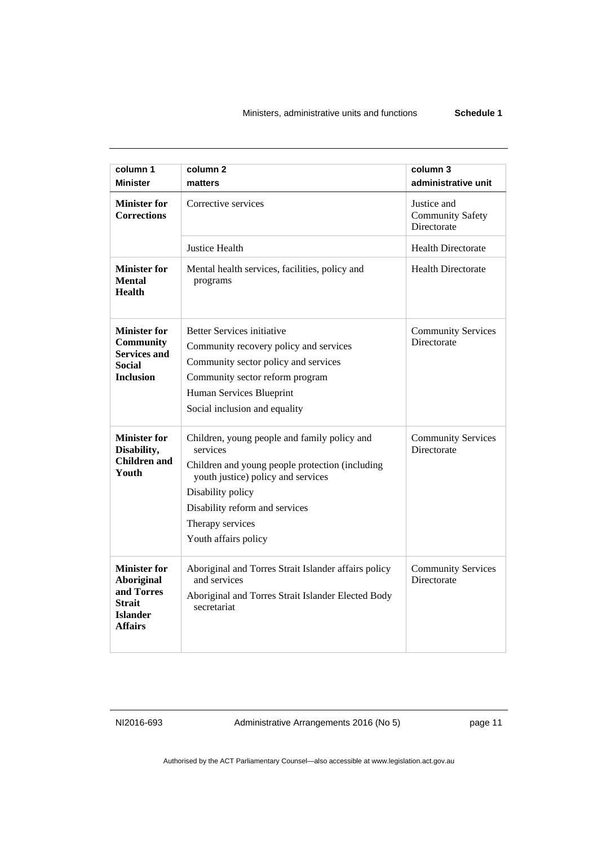| column 1<br><b>Minister</b>                                                                                  | column <sub>2</sub><br>matters                                                                                                                                                                                                                       | column 3<br>administrative unit                       |
|--------------------------------------------------------------------------------------------------------------|------------------------------------------------------------------------------------------------------------------------------------------------------------------------------------------------------------------------------------------------------|-------------------------------------------------------|
| <b>Minister for</b><br><b>Corrections</b>                                                                    | Corrective services                                                                                                                                                                                                                                  | Justice and<br><b>Community Safety</b><br>Directorate |
|                                                                                                              | Justice Health                                                                                                                                                                                                                                       | <b>Health Directorate</b>                             |
| <b>Minister for</b><br><b>Mental</b><br><b>Health</b>                                                        | Mental health services, facilities, policy and<br>programs                                                                                                                                                                                           | <b>Health Directorate</b>                             |
| <b>Minister for</b><br><b>Community</b><br><b>Services and</b><br><b>Social</b><br><b>Inclusion</b>          | <b>Better Services initiative</b><br>Community recovery policy and services<br>Community sector policy and services<br>Community sector reform program<br>Human Services Blueprint<br>Social inclusion and equality                                  | <b>Community Services</b><br>Directorate              |
| <b>Minister for</b><br>Disability,<br><b>Children and</b><br>Youth                                           | Children, young people and family policy and<br>services<br>Children and young people protection (including<br>youth justice) policy and services<br>Disability policy<br>Disability reform and services<br>Therapy services<br>Youth affairs policy | <b>Community Services</b><br>Directorate              |
| <b>Minister for</b><br><b>Aboriginal</b><br>and Torres<br><b>Strait</b><br><b>Islander</b><br><b>Affairs</b> | Aboriginal and Torres Strait Islander affairs policy<br>and services<br>Aboriginal and Torres Strait Islander Elected Body<br>secretariat                                                                                                            | <b>Community Services</b><br>Directorate              |

NI2016-693 Administrative Arrangements 2016 (No 5) page 11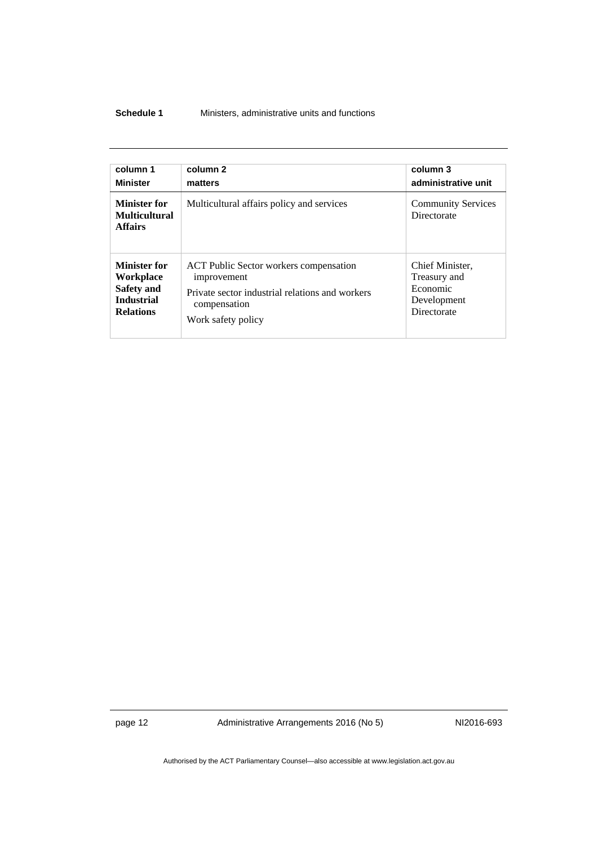#### **Schedule 1** Ministers, administrative units and functions

| column 1                                                      | column 2                                        | column 3                                        |
|---------------------------------------------------------------|-------------------------------------------------|-------------------------------------------------|
| <b>Minister</b>                                               | matters                                         | administrative unit                             |
| <b>Minister for</b><br><b>Multicultural</b><br><b>Affairs</b> | Multicultural affairs policy and services       | <b>Community Services</b><br><b>Directorate</b> |
| Minister for                                                  | <b>ACT Public Sector workers compensation</b>   | Chief Minister,                                 |
| Workplace                                                     | improvement                                     | Treasury and                                    |
| Safety and                                                    | Private sector industrial relations and workers | Economic                                        |
| <b>Industrial</b>                                             | compensation                                    | Development                                     |
| <b>Relations</b>                                              | Work safety policy                              | <b>Directorate</b>                              |

page 12 Administrative Arrangements 2016 (No 5) NI2016-693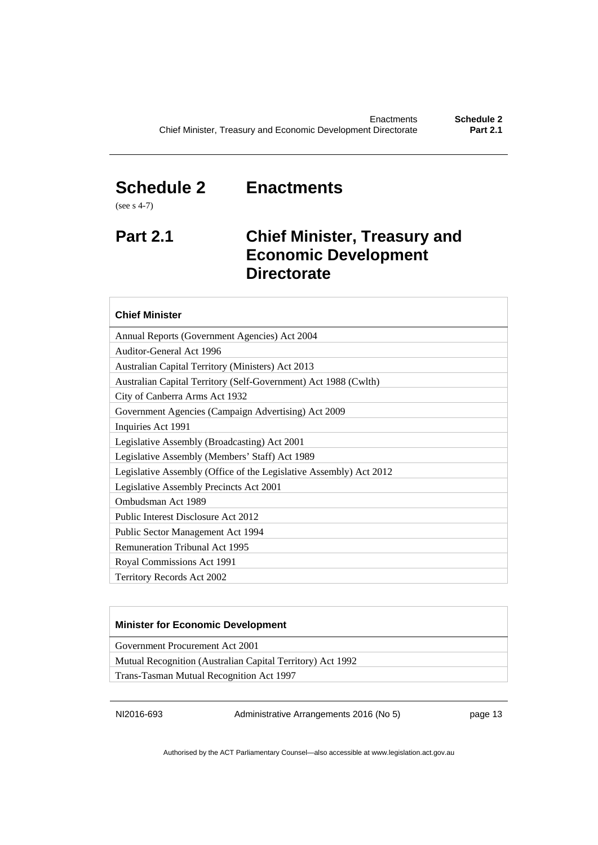## <span id="page-16-0"></span>**Schedule 2 Enactments**

(see s 4-7)

## <span id="page-16-1"></span>**Part 2.1 Chief Minister, Treasury and Economic Development Directorate**

### **Chief Minister**

Annual Reports (Government Agencies) Act 2004

Auditor-General Act 1996

Australian Capital Territory (Ministers) Act 2013 Australian Capital Territory (Self-Government) Act 1988 (Cwlth)

City of Canberra Arms Act 1932

Government Agencies (Campaign Advertising) Act 2009

Inquiries Act 1991

Legislative Assembly (Broadcasting) Act 2001

Legislative Assembly (Members' Staff) Act 1989

Legislative Assembly (Office of the Legislative Assembly) Act 2012

Legislative Assembly Precincts Act 2001

Ombudsman Act 1989

Public Interest Disclosure Act 2012

Public Sector Management Act 1994

Remuneration Tribunal Act 1995

Royal Commissions Act 1991

Territory Records Act 2002

#### **Minister for Economic Development**

Government Procurement Act 2001

Mutual Recognition (Australian Capital Territory) Act 1992

Trans-Tasman Mutual Recognition Act 1997

NI2016-693 Administrative Arrangements 2016 (No 5) page 13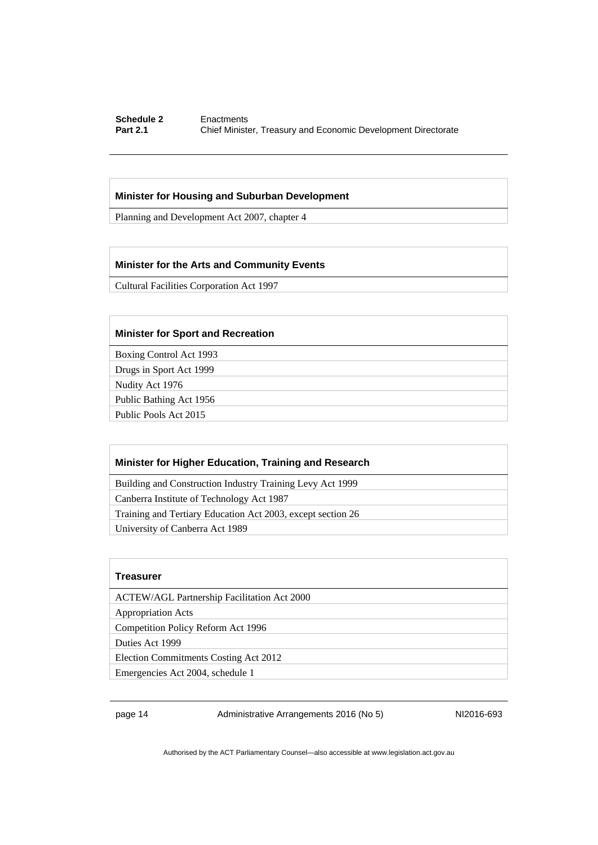#### **Schedule 2 Enactments**<br>**Part 2.1 Chief Minister Chief Minister, Treasury and Economic Development Directorate**

#### **Minister for Housing and Suburban Development**

Planning and Development Act 2007, chapter 4

#### **Minister for the Arts and Community Events**

Cultural Facilities Corporation Act 1997

#### **Minister for Sport and Recreation**

Boxing Control Act 1993

Drugs in Sport Act 1999

Nudity Act 1976

Public Bathing Act 1956

Public Pools Act 2015

#### **Minister for Higher Education, Training and Research**

Building and Construction Industry Training Levy Act 1999

Canberra Institute of Technology Act 1987

Training and Tertiary Education Act 2003, except section 26

University of Canberra Act 1989

#### **Treasurer**

ACTEW/AGL Partnership Facilitation Act 2000

Appropriation Acts

Competition Policy Reform Act 1996

Duties Act 1999

Election Commitments Costing Act 2012

Emergencies Act 2004, schedule 1

page 14 Administrative Arrangements 2016 (No 5) NI2016-693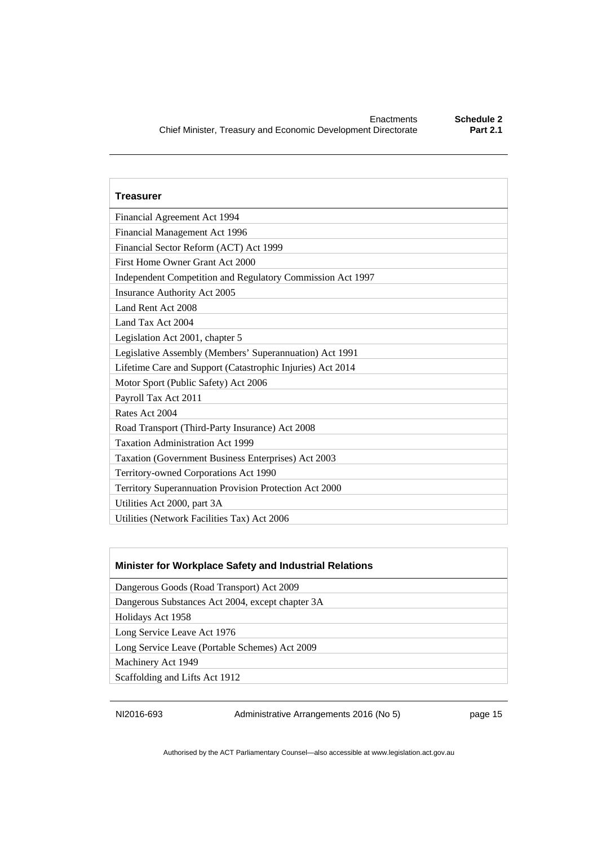| <b>Treasurer</b>                                           |  |
|------------------------------------------------------------|--|
| Financial Agreement Act 1994                               |  |
| Financial Management Act 1996                              |  |
| Financial Sector Reform (ACT) Act 1999                     |  |
| First Home Owner Grant Act 2000                            |  |
| Independent Competition and Regulatory Commission Act 1997 |  |
| Insurance Authority Act 2005                               |  |
| Land Rent Act 2008                                         |  |
| Land Tax Act 2004                                          |  |
| Legislation Act 2001, chapter 5                            |  |
| Legislative Assembly (Members' Superannuation) Act 1991    |  |
| Lifetime Care and Support (Catastrophic Injuries) Act 2014 |  |
| Motor Sport (Public Safety) Act 2006                       |  |
| Payroll Tax Act 2011                                       |  |
| Rates Act 2004                                             |  |
| Road Transport (Third-Party Insurance) Act 2008            |  |
| <b>Taxation Administration Act 1999</b>                    |  |
| Taxation (Government Business Enterprises) Act 2003        |  |
| Territory-owned Corporations Act 1990                      |  |
| Territory Superannuation Provision Protection Act 2000     |  |
| Utilities Act 2000, part 3A                                |  |
| Utilities (Network Facilities Tax) Act 2006                |  |

#### **Minister for Workplace Safety and Industrial Relations**

Dangerous Goods (Road Transport) Act 2009

Dangerous Substances Act 2004, except chapter 3A

Holidays Act 1958

Long Service Leave Act 1976

Long Service Leave (Portable Schemes) Act 2009

Machinery Act 1949

Scaffolding and Lifts Act 1912

NI2016-693 Administrative Arrangements 2016 (No 5) page 15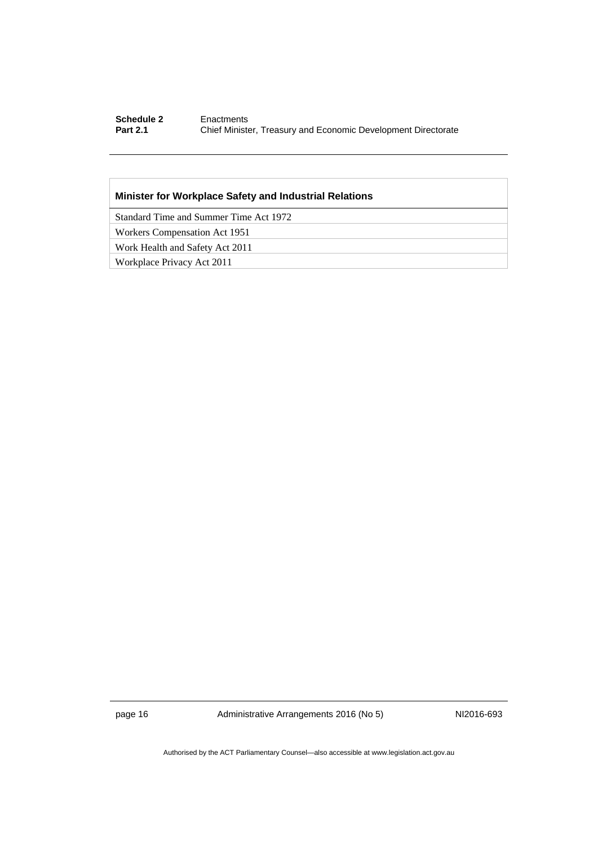#### **Schedule 2 Enactments**<br>**Part 2.1 Chief Minister Part 2.1** Chief Minister, Treasury and Economic Development Directorate

#### **Minister for Workplace Safety and Industrial Relations**

Standard Time and Summer Time Act 1972

Workers Compensation Act 1951

Work Health and Safety Act 2011

Workplace Privacy Act 2011

page 16 Administrative Arrangements 2016 (No 5) NI2016-693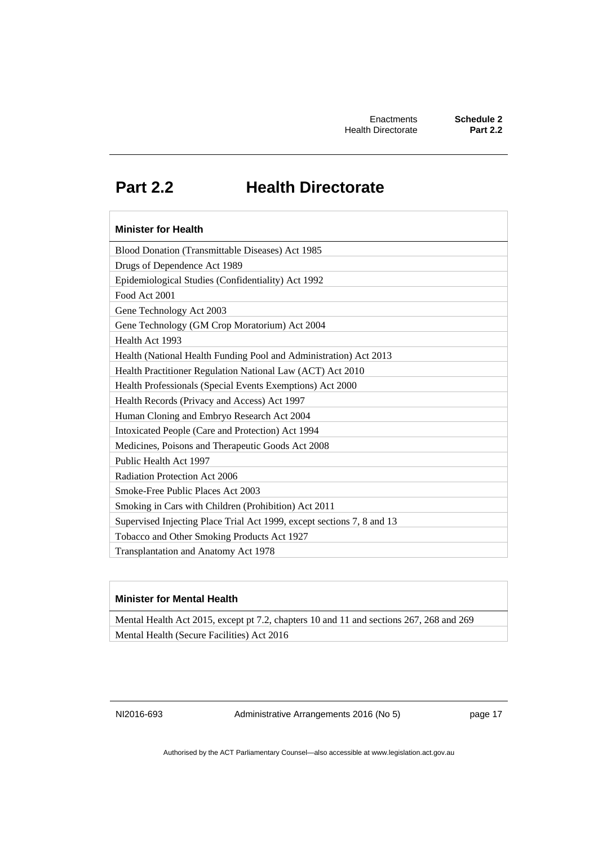# **Part 2.2 Health Directorate**

## <span id="page-20-0"></span>**Minister for Health**  Blood Donation (Transmittable Diseases) Act 1985 Drugs of Dependence Act 1989 Epidemiological Studies (Confidentiality) Act 1992 Food Act 2001 Gene Technology Act 2003 Gene Technology (GM Crop Moratorium) Act 2004 Health Act 1993 Health (National Health Funding Pool and Administration) Act 2013 Health Practitioner Regulation National Law (ACT) Act 2010 Health Professionals (Special Events Exemptions) Act 2000 Health Records (Privacy and Access) Act 1997 Human Cloning and Embryo Research Act 2004 Intoxicated People (Care and Protection) Act 1994 Medicines, Poisons and Therapeutic Goods Act 2008 Public Health Act 1997 Radiation Protection Act 2006 Smoke-Free Public Places Act 2003 Smoking in Cars with Children (Prohibition) Act 2011 Supervised Injecting Place Trial Act 1999, except sections 7, 8 and 13 Tobacco and Other Smoking Products Act 1927 Transplantation and Anatomy Act 1978

#### **Minister for Mental Health**

Mental Health Act 2015, except pt 7.2, chapters 10 and 11 and sections 267, 268 and 269 Mental Health (Secure Facilities) Act 2016

NI2016-693 Administrative Arrangements 2016 (No 5) page 17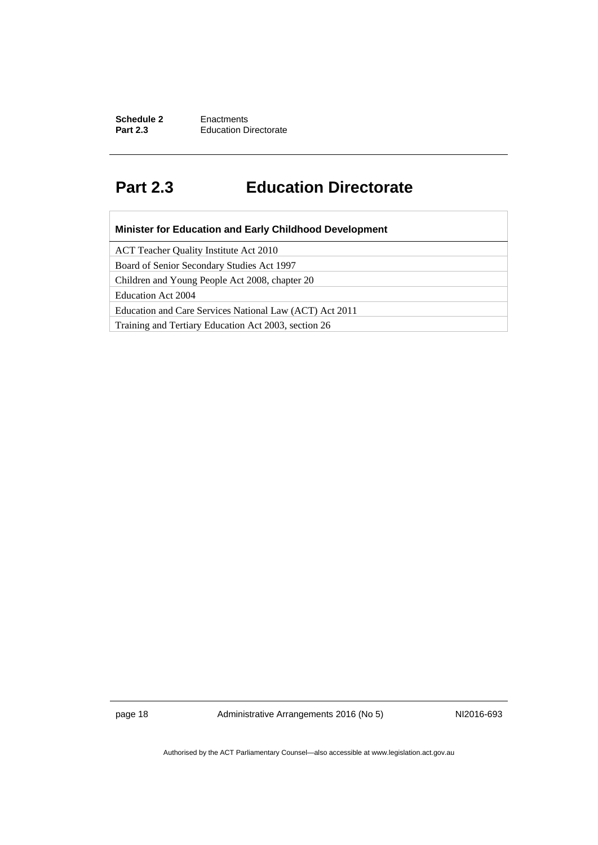**Schedule 2 Enactments**<br>**Part 2.3 Education D Education Directorate** 

# <span id="page-21-0"></span>**Part 2.3 Education Directorate**

| <b>Minister for Education and Early Childhood Development</b> |
|---------------------------------------------------------------|
| ACT Teacher Quality Institute Act 2010                        |
| Board of Senior Secondary Studies Act 1997                    |
| Children and Young People Act 2008, chapter 20                |
| Education Act 2004                                            |
| Education and Care Services National Law (ACT) Act 2011       |
| Training and Tertiary Education Act 2003, section 26          |

page 18 **Administrative Arrangements 2016 (No 5)** NI2016-693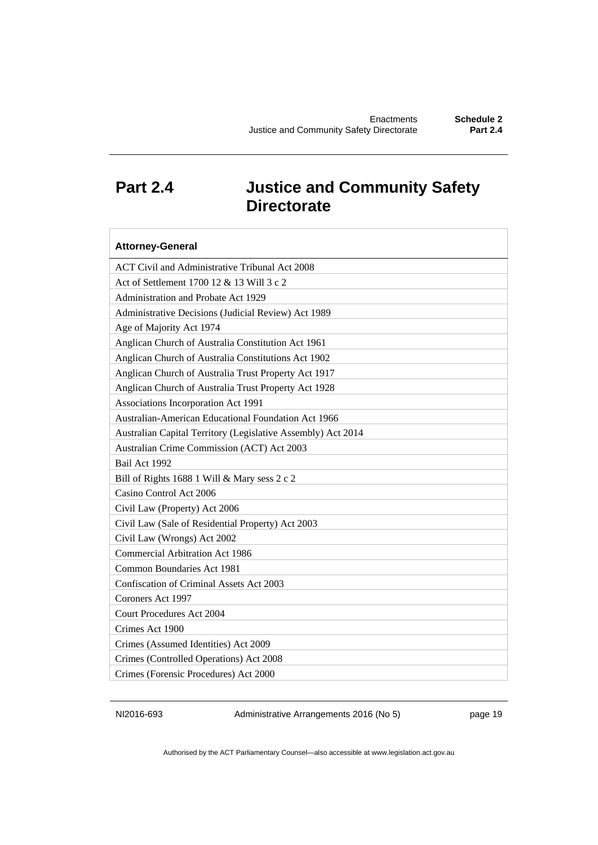# <span id="page-22-0"></span>**Part 2.4 Justice and Community Safety Directorate**

| <b>Attorney-General</b>                                      |
|--------------------------------------------------------------|
| ACT Civil and Administrative Tribunal Act 2008               |
| Act of Settlement 1700 12 & 13 Will 3 c 2                    |
| Administration and Probate Act 1929                          |
| Administrative Decisions (Judicial Review) Act 1989          |
| Age of Majority Act 1974                                     |
| Anglican Church of Australia Constitution Act 1961           |
| Anglican Church of Australia Constitutions Act 1902          |
| Anglican Church of Australia Trust Property Act 1917         |
| Anglican Church of Australia Trust Property Act 1928         |
| Associations Incorporation Act 1991                          |
| Australian-American Educational Foundation Act 1966          |
| Australian Capital Territory (Legislative Assembly) Act 2014 |
| Australian Crime Commission (ACT) Act 2003                   |
| Bail Act 1992                                                |
| Bill of Rights 1688 1 Will & Mary sess 2 c 2                 |
| Casino Control Act 2006                                      |
| Civil Law (Property) Act 2006                                |
| Civil Law (Sale of Residential Property) Act 2003            |
| Civil Law (Wrongs) Act 2002                                  |
| <b>Commercial Arbitration Act 1986</b>                       |
| Common Boundaries Act 1981                                   |
| Confiscation of Criminal Assets Act 2003                     |
| Coroners Act 1997                                            |
| <b>Court Procedures Act 2004</b>                             |
| Crimes Act 1900                                              |
| Crimes (Assumed Identities) Act 2009                         |
| Crimes (Controlled Operations) Act 2008                      |
| Crimes (Forensic Procedures) Act 2000                        |

NI2016-693 Administrative Arrangements 2016 (No 5) page 19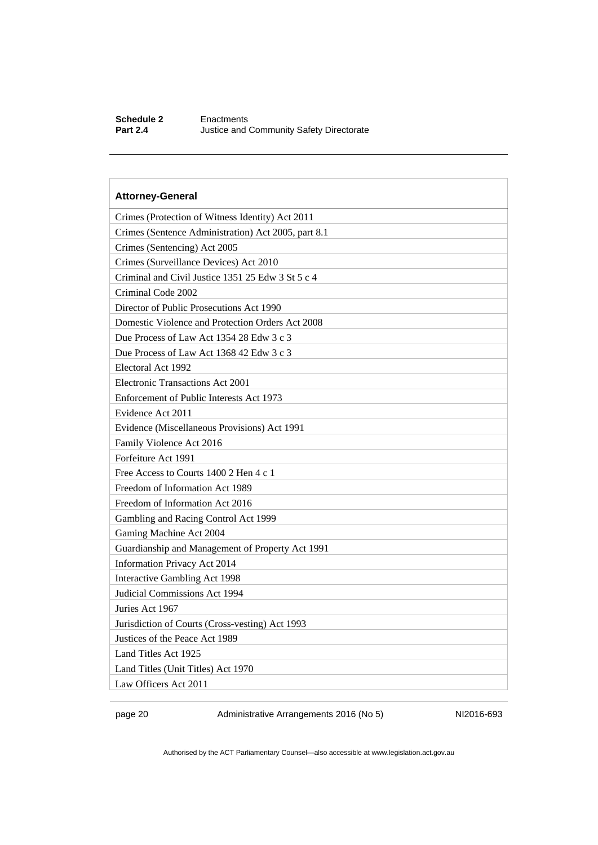#### **Schedule 2** Enactments<br> **Part 2.4** Justice and **Justice and Community Safety Directorate**

## **Attorney-General**  Crimes (Protection of Witness Identity) Act 2011 Crimes (Sentence Administration) Act 2005, part 8.1 Crimes (Sentencing) Act 2005 Crimes (Surveillance Devices) Act 2010 Criminal and Civil Justice 1351 25 Edw 3 St 5 c 4 Criminal Code 2002 Director of Public Prosecutions Act 1990 Domestic Violence and Protection Orders Act 2008 Due Process of Law Act 1354 28 Edw 3 c 3 Due Process of Law Act 1368 42 Edw 3 c 3 Electoral Act 1992 Electronic Transactions Act 2001 Enforcement of Public Interests Act 1973 Evidence Act 2011 Evidence (Miscellaneous Provisions) Act 1991 Family Violence Act 2016 Forfeiture Act 1991 Free Access to Courts 1400 2 Hen 4 c 1 Freedom of Information Act 1989 Freedom of Information Act 2016 Gambling and Racing Control Act 1999 Gaming Machine Act 2004 Guardianship and Management of Property Act 1991 Information Privacy Act 2014 Interactive Gambling Act 1998 Judicial Commissions Act 1994 Juries Act 1967 Jurisdiction of Courts (Cross-vesting) Act 1993 Justices of the Peace Act 1989

Land Titles Act 1925

Law Officers Act 2011

Land Titles (Unit Titles) Act 1970

page 20 Administrative Arrangements 2016 (No 5) NI2016-693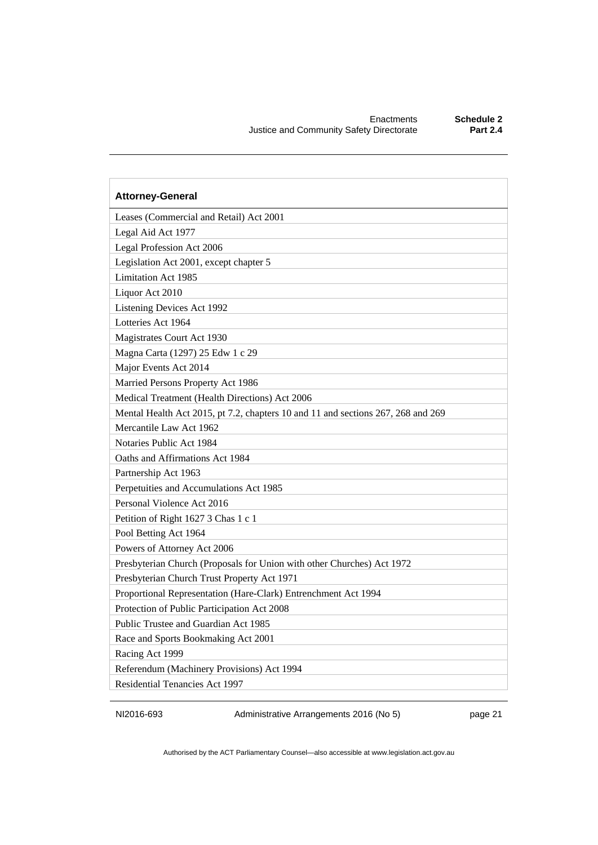| <b>Attorney-General</b>                                                          |
|----------------------------------------------------------------------------------|
| Leases (Commercial and Retail) Act 2001                                          |
| Legal Aid Act 1977                                                               |
| Legal Profession Act 2006                                                        |
| Legislation Act 2001, except chapter 5                                           |
| <b>Limitation Act 1985</b>                                                       |
| Liquor Act 2010                                                                  |
| Listening Devices Act 1992                                                       |
| Lotteries Act 1964                                                               |
| Magistrates Court Act 1930                                                       |
| Magna Carta (1297) 25 Edw 1 c 29                                                 |
| Major Events Act 2014                                                            |
| Married Persons Property Act 1986                                                |
| Medical Treatment (Health Directions) Act 2006                                   |
| Mental Health Act 2015, pt 7.2, chapters 10 and 11 and sections 267, 268 and 269 |
| Mercantile Law Act 1962                                                          |
| Notaries Public Act 1984                                                         |
| Oaths and Affirmations Act 1984                                                  |
| Partnership Act 1963                                                             |
| Perpetuities and Accumulations Act 1985                                          |
| Personal Violence Act 2016                                                       |
| Petition of Right 1627 3 Chas 1 c 1                                              |
| Pool Betting Act 1964                                                            |
| Powers of Attorney Act 2006                                                      |
| Presbyterian Church (Proposals for Union with other Churches) Act 1972           |
| Presbyterian Church Trust Property Act 1971                                      |
| Proportional Representation (Hare-Clark) Entrenchment Act 1994                   |
| Protection of Public Participation Act 2008                                      |
| Public Trustee and Guardian Act 1985                                             |
| Race and Sports Bookmaking Act 2001                                              |
| Racing Act 1999                                                                  |
| Referendum (Machinery Provisions) Act 1994                                       |
| Residential Tenancies Act 1997                                                   |

NI2016-693 Administrative Arrangements 2016 (No 5) page 21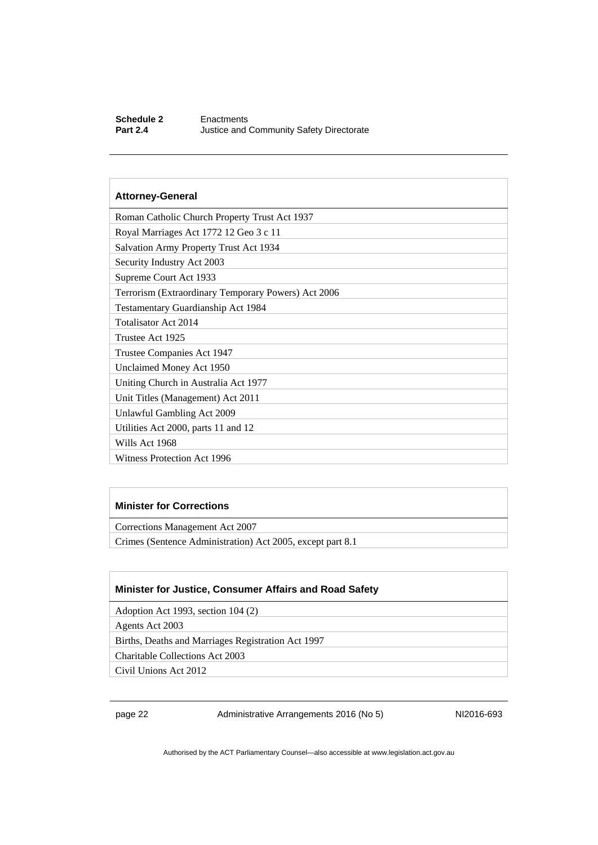#### **Schedule 2 Enactments**<br>**Part 2.4 Uustice and 1 Justice and Community Safety Directorate**

#### **Attorney-General**

| Roman Catholic Church Property Trust Act 1937       |
|-----------------------------------------------------|
| Royal Marriages Act 1772 12 Geo 3 c 11              |
| <b>Salvation Army Property Trust Act 1934</b>       |
| Security Industry Act 2003                          |
| Supreme Court Act 1933                              |
| Terrorism (Extraordinary Temporary Powers) Act 2006 |
| Testamentary Guardianship Act 1984                  |
| Totalisator Act 2014                                |
| Trustee Act 1925                                    |
| Trustee Companies Act 1947                          |
| Unclaimed Money Act 1950                            |
| Uniting Church in Australia Act 1977                |
| Unit Titles (Management) Act 2011                   |
| Unlawful Gambling Act 2009                          |
| Utilities Act 2000, parts 11 and 12                 |
| Wills Act 1968                                      |
| <b>Witness Protection Act 1996</b>                  |

#### **Minister for Corrections**

Corrections Management Act 2007

Crimes (Sentence Administration) Act 2005, except part 8.1

#### **Minister for Justice, Consumer Affairs and Road Safety**

Adoption Act 1993, section 104 (2)

Agents Act 2003

Births, Deaths and Marriages Registration Act 1997

Charitable Collections Act 2003

Civil Unions Act 2012

page 22 Administrative Arrangements 2016 (No 5) NI2016-693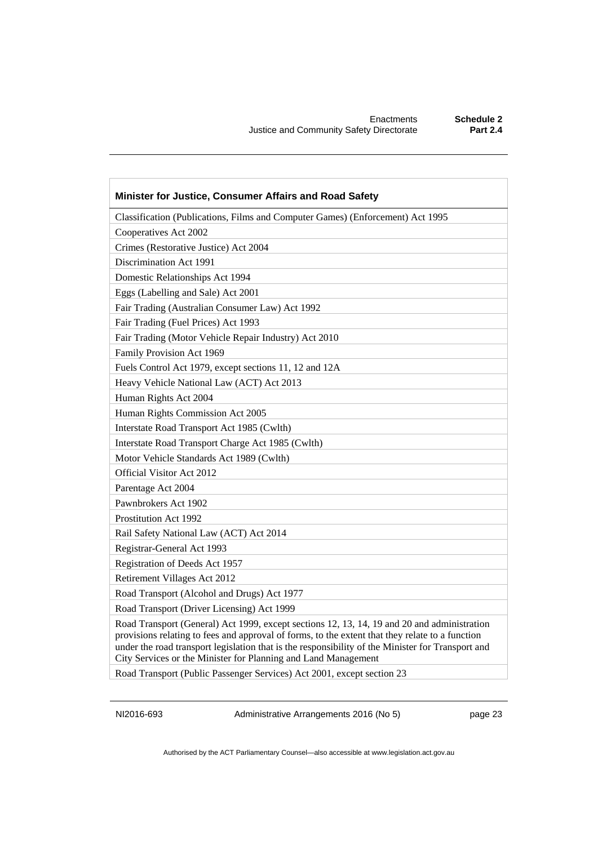| Minister for Justice, Consumer Affairs and Road Safety                                                                                                                                                                                                                                                                                                                |
|-----------------------------------------------------------------------------------------------------------------------------------------------------------------------------------------------------------------------------------------------------------------------------------------------------------------------------------------------------------------------|
| Classification (Publications, Films and Computer Games) (Enforcement) Act 1995                                                                                                                                                                                                                                                                                        |
| Cooperatives Act 2002                                                                                                                                                                                                                                                                                                                                                 |
| Crimes (Restorative Justice) Act 2004                                                                                                                                                                                                                                                                                                                                 |
| Discrimination Act 1991                                                                                                                                                                                                                                                                                                                                               |
| Domestic Relationships Act 1994                                                                                                                                                                                                                                                                                                                                       |
| Eggs (Labelling and Sale) Act 2001                                                                                                                                                                                                                                                                                                                                    |
| Fair Trading (Australian Consumer Law) Act 1992                                                                                                                                                                                                                                                                                                                       |
| Fair Trading (Fuel Prices) Act 1993                                                                                                                                                                                                                                                                                                                                   |
| Fair Trading (Motor Vehicle Repair Industry) Act 2010                                                                                                                                                                                                                                                                                                                 |
| Family Provision Act 1969                                                                                                                                                                                                                                                                                                                                             |
| Fuels Control Act 1979, except sections 11, 12 and 12A                                                                                                                                                                                                                                                                                                                |
| Heavy Vehicle National Law (ACT) Act 2013                                                                                                                                                                                                                                                                                                                             |
| Human Rights Act 2004                                                                                                                                                                                                                                                                                                                                                 |
| Human Rights Commission Act 2005                                                                                                                                                                                                                                                                                                                                      |
| Interstate Road Transport Act 1985 (Cwlth)                                                                                                                                                                                                                                                                                                                            |
| Interstate Road Transport Charge Act 1985 (Cwlth)                                                                                                                                                                                                                                                                                                                     |
| Motor Vehicle Standards Act 1989 (Cwlth)                                                                                                                                                                                                                                                                                                                              |
| Official Visitor Act 2012                                                                                                                                                                                                                                                                                                                                             |
| Parentage Act 2004                                                                                                                                                                                                                                                                                                                                                    |
| Pawnbrokers Act 1902                                                                                                                                                                                                                                                                                                                                                  |
| <b>Prostitution Act 1992</b>                                                                                                                                                                                                                                                                                                                                          |
| Rail Safety National Law (ACT) Act 2014                                                                                                                                                                                                                                                                                                                               |
| Registrar-General Act 1993                                                                                                                                                                                                                                                                                                                                            |
| Registration of Deeds Act 1957                                                                                                                                                                                                                                                                                                                                        |
| Retirement Villages Act 2012                                                                                                                                                                                                                                                                                                                                          |
| Road Transport (Alcohol and Drugs) Act 1977                                                                                                                                                                                                                                                                                                                           |
| Road Transport (Driver Licensing) Act 1999                                                                                                                                                                                                                                                                                                                            |
| Road Transport (General) Act 1999, except sections 12, 13, 14, 19 and 20 and administration<br>provisions relating to fees and approval of forms, to the extent that they relate to a function<br>under the road transport legislation that is the responsibility of the Minister for Transport and<br>City Services or the Minister for Planning and Land Management |

Road Transport (Public Passenger Services) Act 2001, except section 23

NI2016-693 Administrative Arrangements 2016 (No 5) page 23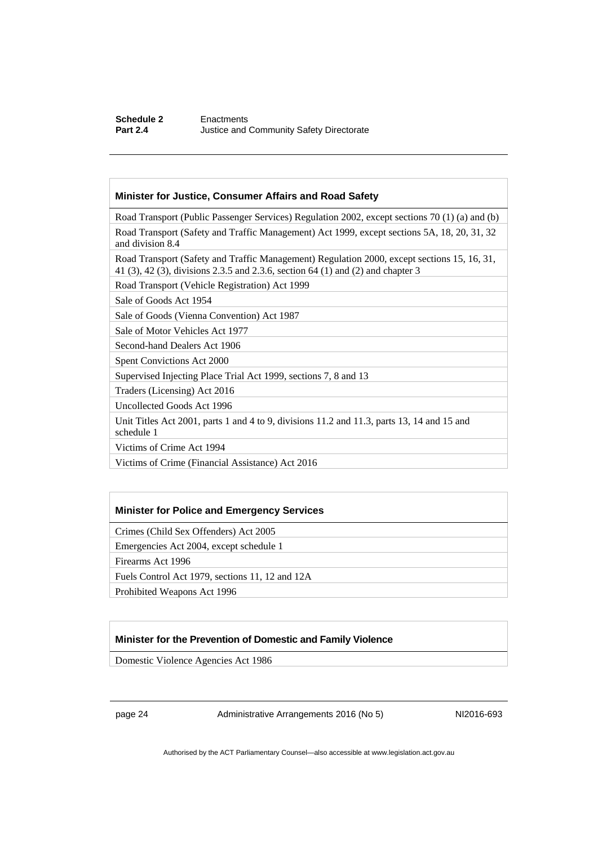#### **Minister for Justice, Consumer Affairs and Road Safety**

Road Transport (Public Passenger Services) Regulation 2002, except sections 70 (1) (a) and (b)

Road Transport (Safety and Traffic Management) Act 1999, except sections 5A, 18, 20, 31, 32 and division 8.4

Road Transport (Safety and Traffic Management) Regulation 2000, except sections 15, 16, 31, 41 (3), 42 (3), divisions 2.3.5 and 2.3.6, section 64 (1) and (2) and chapter 3

Road Transport (Vehicle Registration) Act 1999

Sale of Goods Act 1954

Sale of Goods (Vienna Convention) Act 1987

Sale of Motor Vehicles Act 1977

Second-hand Dealers Act 1906

Spent Convictions Act 2000

Supervised Injecting Place Trial Act 1999, sections 7, 8 and 13

Traders (Licensing) Act 2016

Uncollected Goods Act 1996

Unit Titles Act 2001, parts 1 and 4 to 9, divisions 11.2 and 11.3, parts 13, 14 and 15 and schedule 1

Victims of Crime Act 1994

Victims of Crime (Financial Assistance) Act 2016

#### **Minister for Police and Emergency Services**

Crimes (Child Sex Offenders) Act 2005

Emergencies Act 2004, except schedule 1

Firearms Act 1996

Fuels Control Act 1979, sections 11, 12 and 12A

Prohibited Weapons Act 1996

#### **Minister for the Prevention of Domestic and Family Violence**

Domestic Violence Agencies Act 1986

page 24 Administrative Arrangements 2016 (No 5) NI2016-693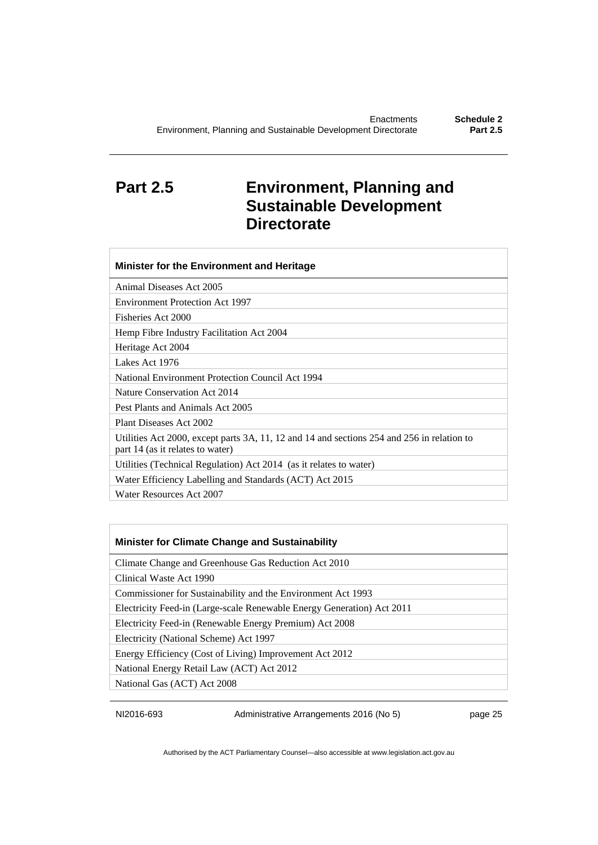# <span id="page-28-0"></span>**Part 2.5 Environment, Planning and Sustainable Development Directorate**

| Minister for the Environment and Heritage                                                                                      |
|--------------------------------------------------------------------------------------------------------------------------------|
| Animal Diseases Act 2005                                                                                                       |
| Environment Protection Act 1997                                                                                                |
| Fisheries Act 2000                                                                                                             |
| Hemp Fibre Industry Facilitation Act 2004                                                                                      |
| Heritage Act 2004                                                                                                              |
| Lakes Act 1976                                                                                                                 |
| National Environment Protection Council Act 1994                                                                               |
| Nature Conservation Act 2014                                                                                                   |
| Pest Plants and Animals Act 2005                                                                                               |
| Plant Diseases Act 2002                                                                                                        |
| Utilities Act 2000, except parts 3A, 11, 12 and 14 and sections 254 and 256 in relation to<br>part 14 (as it relates to water) |
| Utilities (Technical Regulation) Act 2014 (as it relates to water)                                                             |
| Water Efficiency Labelling and Standards (ACT) Act 2015                                                                        |
| Water Resources Act 2007                                                                                                       |

#### **Minister for Climate Change and Sustainability**

Climate Change and Greenhouse Gas Reduction Act 2010

Clinical Waste Act 1990

Commissioner for Sustainability and the Environment Act 1993

Electricity Feed-in (Large-scale Renewable Energy Generation) Act 2011

Electricity Feed-in (Renewable Energy Premium) Act 2008

Electricity (National Scheme) Act 1997

Energy Efficiency (Cost of Living) Improvement Act 2012

National Energy Retail Law (ACT) Act 2012

National Gas (ACT) Act 2008

NI2016-693 Administrative Arrangements 2016 (No 5) page 25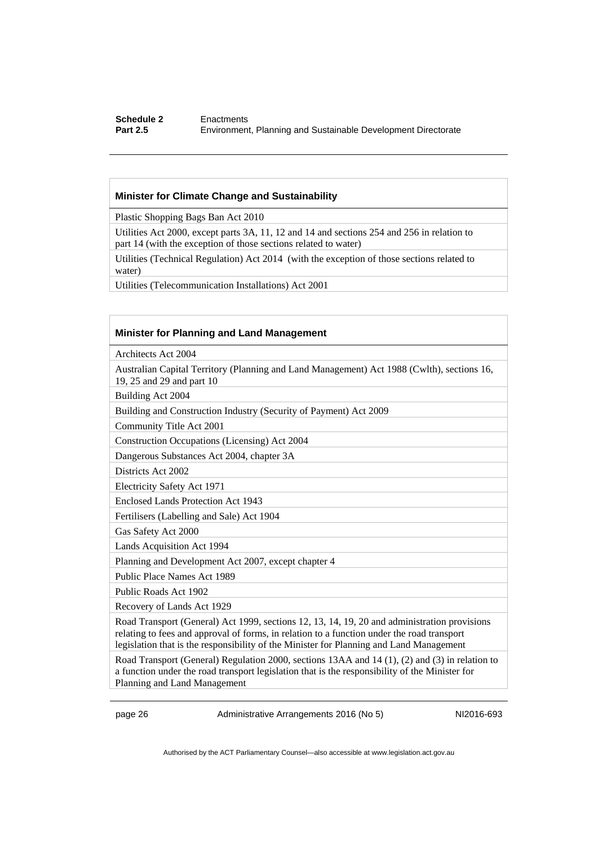#### **Schedule 2 Enactments**<br>**Part 2.5 Environmen Part 2.5** Environment, Planning and Sustainable Development Directorate

#### **Minister for Climate Change and Sustainability**

Plastic Shopping Bags Ban Act 2010

Utilities Act 2000, except parts 3A, 11, 12 and 14 and sections 254 and 256 in relation to part 14 (with the exception of those sections related to water)

Utilities (Technical Regulation) Act 2014 (with the exception of those sections related to water)

Utilities (Telecommunication Installations) Act 2001

#### **Minister for Planning and Land Management**

Architects Act 2004

Australian Capital Territory (Planning and Land Management) Act 1988 (Cwlth), sections 16, 19, 25 and 29 and part 10

Building Act 2004

Building and Construction Industry (Security of Payment) Act 2009

Community Title Act 2001

Construction Occupations (Licensing) Act 2004

Dangerous Substances Act 2004, chapter 3A

Districts Act 2002

Electricity Safety Act 1971

Enclosed Lands Protection Act 1943

Fertilisers (Labelling and Sale) Act 1904

Gas Safety Act 2000

Lands Acquisition Act 1994

Planning and Development Act 2007, except chapter 4

Public Place Names Act 1989

Public Roads Act 1902

Recovery of Lands Act 1929

Road Transport (General) Act 1999, sections 12, 13, 14, 19, 20 and administration provisions relating to fees and approval of forms, in relation to a function under the road transport legislation that is the responsibility of the Minister for Planning and Land Management

Road Transport (General) Regulation 2000, sections 13AA and 14 (1), (2) and (3) in relation to a function under the road transport legislation that is the responsibility of the Minister for Planning and Land Management

page 26 Administrative Arrangements 2016 (No 5) NI2016-693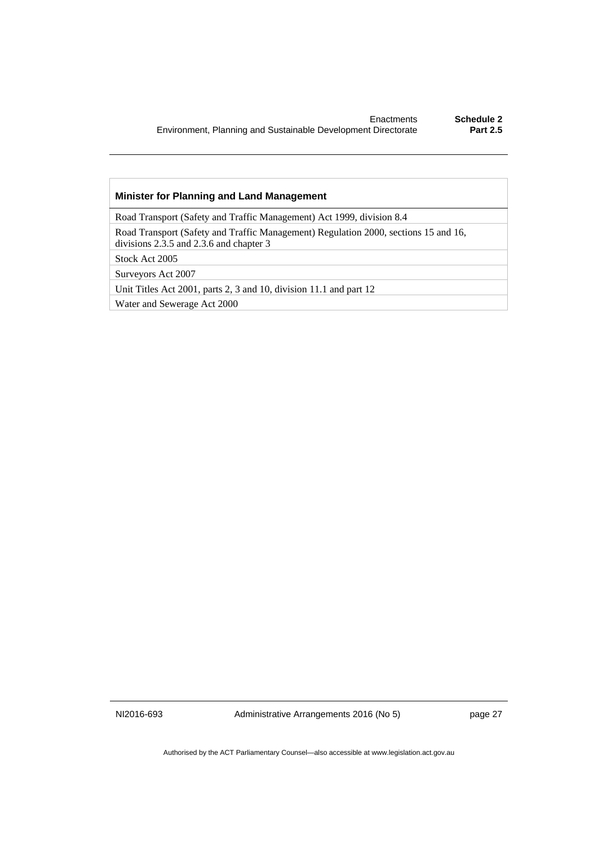#### **Minister for Planning and Land Management**

Road Transport (Safety and Traffic Management) Act 1999, division 8.4

Road Transport (Safety and Traffic Management) Regulation 2000, sections 15 and 16, divisions 2.3.5 and 2.3.6 and chapter 3

Stock Act 2005

Surveyors Act 2007

Unit Titles Act 2001, parts 2, 3 and 10, division 11.1 and part 12

Water and Sewerage Act 2000

NI2016-693 Administrative Arrangements 2016 (No 5) page 27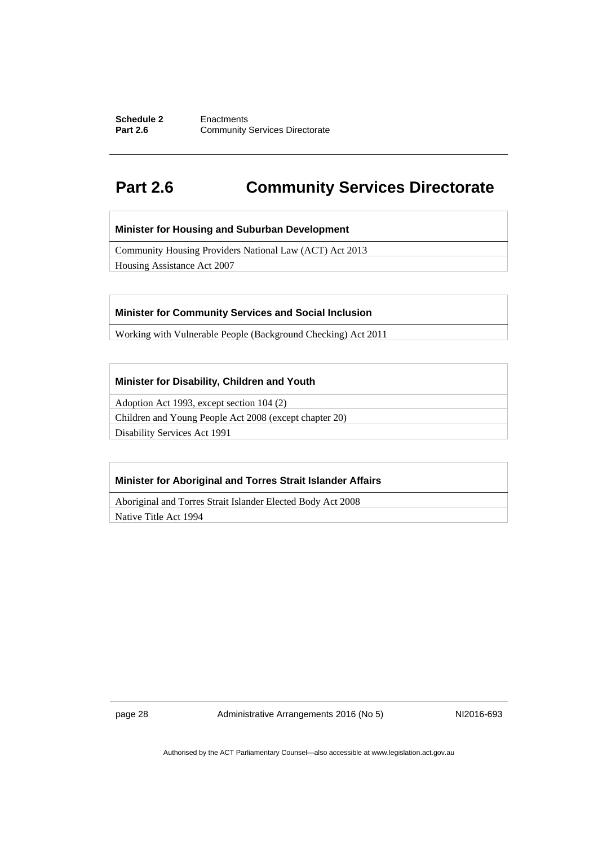#### **Schedule 2 Enactments**<br>**Part 2.6 Community Community Services Directorate**

# <span id="page-31-0"></span>**Part 2.6 Community Services Directorate**

#### **Minister for Housing and Suburban Development**

Community Housing Providers National Law (ACT) Act 2013

Housing Assistance Act 2007

#### **Minister for Community Services and Social Inclusion**

Working with Vulnerable People (Background Checking) Act 2011

#### **Minister for Disability, Children and Youth**

Adoption Act 1993, except section 104 (2)

Children and Young People Act 2008 (except chapter 20)

Disability Services Act 1991

#### **Minister for Aboriginal and Torres Strait Islander Affairs**

Aboriginal and Torres Strait Islander Elected Body Act 2008

Native Title Act 1994

page 28 Administrative Arrangements 2016 (No 5) NI2016-693